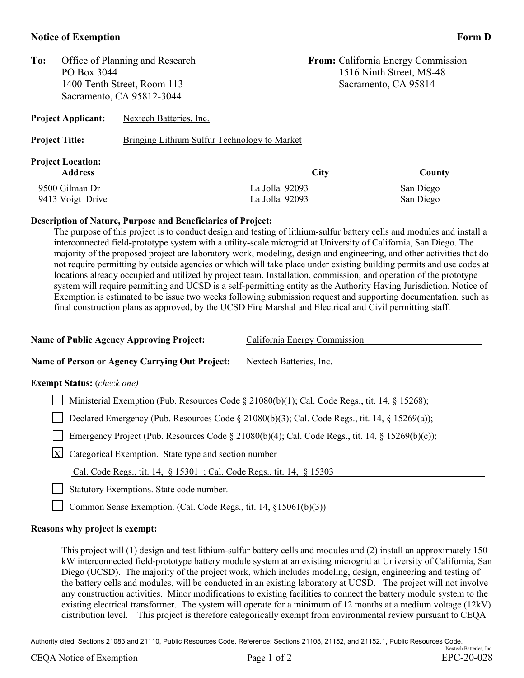## **Notice of Exemption** Form D

| To:                                                  | Office of Planning and Research<br>PO Box 3044           |                | From: California Energy Commission<br>1516 Ninth Street, MS-48<br>Sacramento, CA 95814 |           |  |
|------------------------------------------------------|----------------------------------------------------------|----------------|----------------------------------------------------------------------------------------|-----------|--|
|                                                      | 1400 Tenth Street, Room 113<br>Sacramento, CA 95812-3044 |                |                                                                                        |           |  |
| Nextech Batteries, Inc.<br><b>Project Applicant:</b> |                                                          |                |                                                                                        |           |  |
| <b>Project Title:</b>                                | Bringing Lithium Sulfur Technology to Market             |                |                                                                                        |           |  |
| <b>Project Location:</b><br><b>Address</b>           |                                                          | <b>City</b>    |                                                                                        | County    |  |
| 9500 Gilman Dr                                       |                                                          | La Jolla 92093 |                                                                                        | San Diego |  |
| 9413 Voigt Drive                                     |                                                          | La Jolla 92093 |                                                                                        | San Diego |  |

## **Description of Nature, Purpose and Beneficiaries of Project:**

The purpose of this project is to conduct design and testing of lithium-sulfur battery cells and modules and install a interconnected field-prototype system with a utility-scale microgrid at University of California, San Diego. The majority of the proposed project are laboratory work, modeling, design and engineering, and other activities that do not require permitting by outside agencies or which will take place under existing building permits and use codes at locations already occupied and utilized by project team. Installation, commission, and operation of the prototype system will require permitting and UCSD is a self-permitting entity as the Authority Having Jurisdiction. Notice of Exemption is estimated to be issue two weeks following submission request and supporting documentation, such as final construction plans as approved, by the UCSD Fire Marshal and Electrical and Civil permitting staff.

| <b>Name of Public Agency Approving Project:</b>                                                 | California Energy Commission |  |  |  |  |
|-------------------------------------------------------------------------------------------------|------------------------------|--|--|--|--|
| <b>Name of Person or Agency Carrying Out Project:</b>                                           | Nextech Batteries, Inc.      |  |  |  |  |
| <b>Exempt Status:</b> ( <i>check one</i> )                                                      |                              |  |  |  |  |
| Ministerial Exemption (Pub. Resources Code § 21080(b)(1); Cal. Code Regs., tit. 14, § 15268);   |                              |  |  |  |  |
| Declared Emergency (Pub. Resources Code § 21080(b)(3); Cal. Code Regs., tit. 14, § 15269(a));   |                              |  |  |  |  |
| Emergency Project (Pub. Resources Code § 21080(b)(4); Cal. Code Regs., tit. 14, § 15269(b)(c)); |                              |  |  |  |  |
| Categorical Exemption. State type and section number<br>$ {\bf X} $                             |                              |  |  |  |  |
|                                                                                                 |                              |  |  |  |  |

Cal. Code Regs., tit. 14, § 15301 ; Cal. Code Regs., tit. 14, § 15303

Statutory Exemptions. State code number.

Common Sense Exemption. (Cal. Code Regs., tit. 14, §15061(b)(3))

## **Reasons why project is exempt:**

This project will (1) design and test lithium-sulfur battery cells and modules and (2) install an approximately 150 kW interconnected field-prototype battery module system at an existing microgrid at University of California, San Diego (UCSD). The majority of the project work, which includes modeling, design, engineering and testing of the battery cells and modules, will be conducted in an existing laboratory at UCSD. The project will not involve any construction activities. Minor modifications to existing facilities to connect the battery module system to the existing electrical transformer. The system will operate for a minimum of 12 months at a medium voltage (12kV) distribution level. This project is therefore categorically exempt from environmental review pursuant to CEQA

Authority cited: Sections 21083 and 21110, Public Resources Code. Reference: Sections 21108, 21152, and 21152.1, Public Resources Code. Nextech Batteries, Inc.